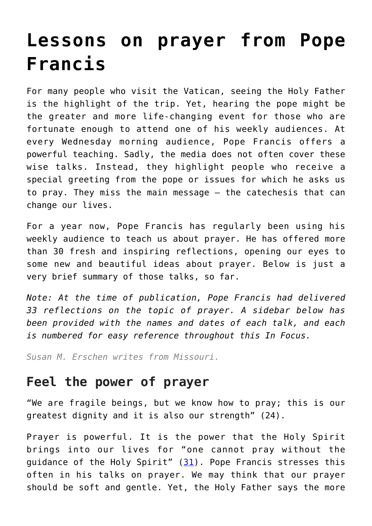# **[Lessons on prayer from Pope](https://www.osvnews.com/2021/05/28/lessons-on-prayer-from-pope-francis/) [Francis](https://www.osvnews.com/2021/05/28/lessons-on-prayer-from-pope-francis/)**

For many people who visit the Vatican, seeing the Holy Father is the highlight of the trip. Yet, hearing the pope might be the greater and more life-changing event for those who are fortunate enough to attend one of his weekly audiences. At every Wednesday morning audience, Pope Francis offers a powerful teaching. Sadly, the media does not often cover these wise talks. Instead, they highlight people who receive a special greeting from the pope or issues for which he asks us to pray. They miss the main message — the catechesis that can change our lives.

For a year now, Pope Francis has regularly been using his weekly audience to teach us about prayer. He has offered more than 30 fresh and inspiring reflections, opening our eyes to some new and beautiful ideas about prayer. Below is just a very brief summary of those talks, so far.

*Note: At the time of publication, Pope Francis had delivered 33 reflections on the topic of prayer. A sidebar below has been provided with the names and dates of each talk, and each is numbered for easy reference throughout this In Focus.*

*Susan M. Erschen writes from Missouri.*

# **Feel the power of prayer**

"We are fragile beings, but we know how to pray; this is our greatest dignity and it is also our strength" (24).

Prayer is powerful. It is the power that the Holy Spirit brings into our lives for "one cannot pray without the quidance of the Holy Spirit"  $(31)$  $(31)$  $(31)$ . Pope Francis stresses this often in his talks on prayer. We may think that our prayer should be soft and gentle. Yet, the Holy Father says the more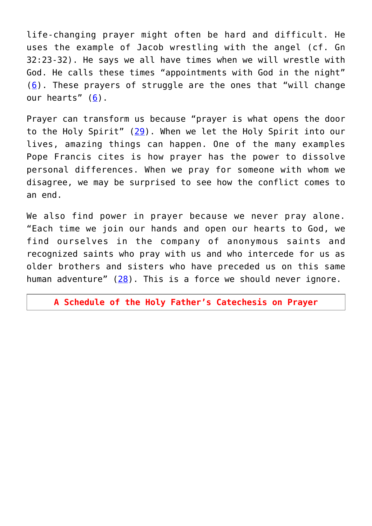life-changing prayer might often be hard and difficult. He uses the example of Jacob wrestling with the angel (cf. Gn 32:23-32). He says we all have times when we will wrestle with God. He calls these times "appointments with God in the night" ([6](https://www.vatican.va/content/francesco/en/audiences/2020/documents/papa-francesco_20200610_udienza-generale.html)). These prayers of struggle are the ones that "will change our hearts" [\(6](https://www.vatican.va/content/francesco/en/audiences/2020/documents/papa-francesco_20200610_udienza-generale.html)).

Prayer can transform us because "prayer is what opens the door to the Holy Spirit" [\(29\)](https://www.vatican.va/content/francesco/en/audiences/2021/documents/papa-francesco_20210414_udienza-generale.html). When we let the Holy Spirit into our lives, amazing things can happen. One of the many examples Pope Francis cites is how prayer has the power to dissolve personal differences. When we pray for someone with whom we disagree, we may be surprised to see how the conflict comes to an end.

We also find power in prayer because we never pray alone. "Each time we join our hands and open our hearts to God, we find ourselves in the company of anonymous saints and recognized saints who pray with us and who intercede for us as older brothers and sisters who have preceded us on this same human adventure" ([28](https://www.vatican.va/content/francesco/en/audiences/2021/documents/papa-francesco_20210407_udienza-generale.html)). This is a force we should never ignore.

**A Schedule of the Holy Father's Catechesis on Prayer**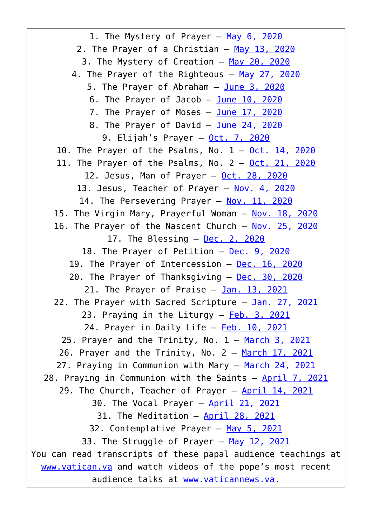1. The Mystery of Prayer - [May 6, 2020](https://www.vatican.va/content/francesco/en/audiences/2020/documents/papa-francesco_20200506_udienza-generale.html) 2. The Prayer of a Christian - [May 13, 2020](https://www.vatican.va/content/francesco/en/audiences/2020/documents/papa-francesco_20200513_udienza-generale.html) 3. The Mystery of Creation — [May 20, 2020](https://www.vatican.va/content/francesco/en/audiences/2020/documents/papa-francesco_20200520_udienza-generale.html) 4. The Prayer of the Righteous - [May 27, 2020](https://www.vatican.va/content/francesco/en/audiences/2020/documents/papa-francesco_20200527_udienza-generale.html) 5. The Prayer of Abraham - [June 3, 2020](https://www.vatican.va/content/francesco/en/audiences/2020/documents/papa-francesco_20200603_udienza-generale.html) 6. The Prayer of Jacob  $-$  [June 10, 2020](https://www.vatican.va/content/francesco/en/audiences/2020/documents/papa-francesco_20200610_udienza-generale.html) 7. The Prayer of Moses - [June 17, 2020](https://www.vatican.va/content/francesco/en/audiences/2020/documents/papa-francesco_20200617_udienza-generale.html) 8. The Prayer of David - [June 24, 2020](https://www.vatican.va/content/francesco/en/audiences/2020/documents/papa-francesco_20200624_udienza-generale.html) 9. Elijah's Prayer — [Oct. 7, 2020](https://www.vatican.va/content/francesco/en/audiences/2020/documents/papa-francesco_20201007_udienza-generale.html) 10. The Prayer of the Psalms, No.  $1 - 0ct$ . 14, 2020 11. The Prayer of the Psalms, No.  $2 - 0ct$ . 21, 2020 12. Jesus, Man of Prayer — [Oct. 28, 2020](https://www.vatican.va/content/francesco/en/audiences/2020/documents/papa-francesco_20201028_udienza-generale.html) 13. Jesus, Teacher of Prayer — [Nov. 4, 2020](https://www.vatican.va/content/francesco/en/audiences/2020/documents/papa-francesco_20201104_udienza-generale.html) 14. The Persevering Prayer - [Nov. 11, 2020](https://www.vatican.va/content/francesco/en/audiences/2020/documents/papa-francesco_20201111_udienza-generale.html) 15. The Virgin Mary, Prayerful Woman — [Nov. 18, 2020](https://www.vatican.va/content/francesco/en/audiences/2020/documents/papa-francesco_20201118_udienza-generale.html) 16. The Prayer of the Nascent Church - [Nov. 25, 2020](https://www.vatican.va/content/francesco/en/audiences/2020/documents/papa-francesco_20201125_udienza-generale.html) 17. The Blessing  $-$  [Dec. 2, 2020](https://www.vatican.va/content/francesco/en/audiences/2020/documents/papa-francesco_20201202_udienza-generale.html) 18. The Prayer of Petition - [Dec. 9, 2020](https://www.vatican.va/content/francesco/en/audiences/2020/documents/papa-francesco_20201209_udienza-generale.html) 19. The Prayer of Intercession — [Dec. 16, 2020](https://www.vatican.va/content/francesco/en/audiences/2020/documents/papa-francesco_20201216_udienza-generale.html) 20. The Prayer of Thanksgiving - [Dec. 30, 2020](https://www.vatican.va/content/francesco/en/audiences/2020/documents/papa-francesco_20201230_udienza-generale.html) 21. The Prayer of Praise - [Jan. 13, 2021](https://www.vatican.va/content/francesco/en/audiences/2021/documents/papa-francesco_20210113_udienza-generale.html) 22. The Prayer with Sacred Scripture — [Jan. 27, 2021](https://www.vatican.va/content/francesco/en/audiences/2021/documents/papa-francesco_20210127_udienza-generale.html) 23. Praying in the Liturgy - [Feb. 3, 2021](https://www.vatican.va/content/francesco/en/audiences/2021/documents/papa-francesco_20210203_udienza-generale.html) 24. Prayer in Daily Life - [Feb. 10, 2021](https://www.vatican.va/content/francesco/en/audiences/2021/documents/papa-francesco_20210210_udienza-generale.html) 25. Prayer and the Trinity, No.  $1 - \frac{March}{3}$ , 2021 26. Prayer and the Trinity, No.  $2 - \frac{March}{17}$ , 2021 27. Praying in Communion with Mary - [March 24, 2021](https://www.vatican.va/content/francesco/en/audiences/2021/documents/papa-francesco_20210324_udienza-generale.html) 28. Praying in Communion with the Saints - [April 7, 2021](https://www.vatican.va/content/francesco/en/audiences/2021/documents/papa-francesco_20210407_udienza-generale.html) 29. The Church, Teacher of Prayer - [April 14, 2021](https://www.vatican.va/content/francesco/en/audiences/2021/documents/papa-francesco_20210414_udienza-generale.html) 30. The Vocal Prayer — [April 21, 2021](https://www.vatican.va/content/francesco/en/audiences/2021/documents/papa-francesco_20210421_udienza-generale.html) 31. The Meditation - [April 28, 2021](https://www.vatican.va/content/francesco/en/audiences/2021/documents/papa-francesco_20210428_udienza-generale.html) 32. Contemplative Prayer - [May 5, 2021](https://www.vatican.va/content/francesco/en/audiences/2021/documents/papa-francesco_20210505_udienza-generale.html) 33. The Struggle of Prayer - [May 12, 2021](https://www.vatican.va/content/francesco/en/audiences/2021/documents/papa-francesco_20210512_udienza-generale.html) You can read transcripts of these papal audience teachings at [www.vatican.va](http://www.vatican.va) and watch videos of the pope's most recent audience talks at [www.vaticannews.va.](http://www.vaticannews.va)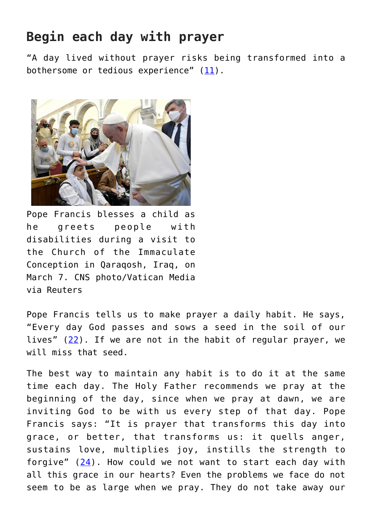# **Begin each day with prayer**

"A day lived without prayer risks being transformed into a bothersome or tedious experience"  $(11)$  $(11)$  $(11)$ .



Pope Francis blesses a child as he greets people with disabilities during a visit to the Church of the Immaculate Conception in Qaraqosh, Iraq, on March 7. CNS photo/Vatican Media via Reuters

Pope Francis tells us to make prayer a daily habit. He says, "Every day God passes and sows a seed in the soil of our lives" [\(22\)](https://www.vatican.va/content/francesco/en/audiences/2021/documents/papa-francesco_20210127_udienza-generale.html). If we are not in the habit of regular prayer, we will miss that seed.

The best way to maintain any habit is to do it at the same time each day. The Holy Father recommends we pray at the beginning of the day, since when we pray at dawn, we are inviting God to be with us every step of that day. Pope Francis says: "It is prayer that transforms this day into grace, or better, that transforms us: it quells anger, sustains love, multiplies joy, instills the strength to forgive"  $(24)$  $(24)$ . How could we not want to start each day with all this grace in our hearts? Even the problems we face do not seem to be as large when we pray. They do not take away our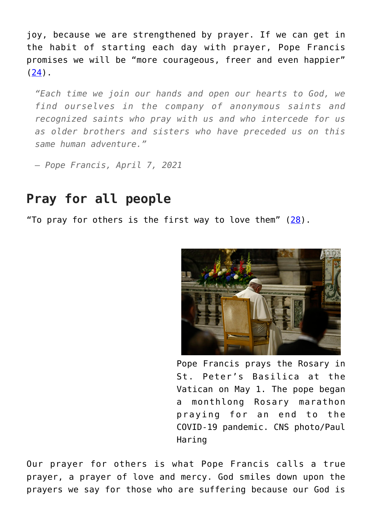joy, because we are strengthened by prayer. If we can get in the habit of starting each day with prayer, Pope Francis promises we will be "more courageous, freer and even happier"  $(24)$  $(24)$ .

*"Each time we join our hands and open our hearts to God, we find ourselves in the company of anonymous saints and recognized saints who pray with us and who intercede for us as older brothers and sisters who have preceded us on this same human adventure."*

*— Pope Francis, April 7, 2021*

### **Pray for all people**

"To pray for others is the first way to love them"  $(28)$  $(28)$ .



Pope Francis prays the Rosary in St. Peter's Basilica at the Vatican on May 1. The pope began a monthlong Rosary marathon praying for an end to the COVID-19 pandemic. CNS photo/Paul Haring

Our prayer for others is what Pope Francis calls a true prayer, a prayer of love and mercy. God smiles down upon the prayers we say for those who are suffering because our God is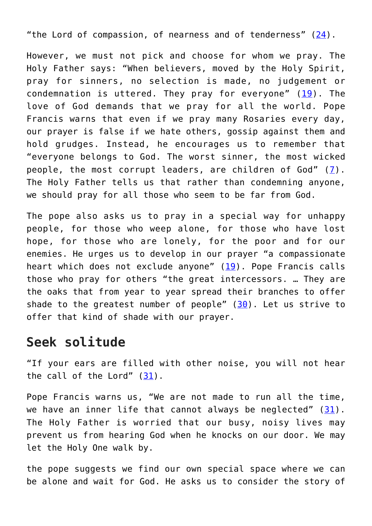"the Lord of compassion, of nearness and of tenderness" ([24](https://www.vatican.va/content/francesco/en/audiences/2021/documents/papa-francesco_20210210_udienza-generale.html)).

However, we must not pick and choose for whom we pray. The Holy Father says: "When believers, moved by the Holy Spirit, pray for sinners, no selection is made, no judgement or condemnation is uttered. They pray for everyone"  $(19)$  $(19)$  $(19)$ . The love of God demands that we pray for all the world. Pope Francis warns that even if we pray many Rosaries every day, our prayer is false if we hate others, gossip against them and hold grudges. Instead, he encourages us to remember that "everyone belongs to God. The worst sinner, the most wicked people, the most corrupt leaders, are children of God" ([7](https://www.vatican.va/content/francesco/en/audiences/2020/documents/papa-francesco_20200617_udienza-generale.html)). The Holy Father tells us that rather than condemning anyone, we should pray for all those who seem to be far from God.

The pope also asks us to pray in a special way for unhappy people, for those who weep alone, for those who have lost hope, for those who are lonely, for the poor and for our enemies. He urges us to develop in our prayer "a compassionate heart which does not exclude anyone" ([19](https://www.vatican.va/content/francesco/en/audiences/2020/documents/papa-francesco_20201216_udienza-generale.html)). Pope Francis calls those who pray for others "the great intercessors. … They are the oaks that from year to year spread their branches to offer shade to the greatest number of people" ([30](https://www.vatican.va/content/francesco/en/audiences/2021/documents/papa-francesco_20210421_udienza-generale.html)). Let us strive to offer that kind of shade with our prayer.

#### **Seek solitude**

"If your ears are filled with other noise, you will not hear the call of the Lord" [\(31\)](https://www.vatican.va/content/francesco/en/audiences/2021/documents/papa-francesco_20210428_udienza-generale.html).

Pope Francis warns us, "We are not made to run all the time, we have an inner life that cannot always be neglected"  $(31)$  $(31)$ . The Holy Father is worried that our busy, noisy lives may prevent us from hearing God when he knocks on our door. We may let the Holy One walk by.

the pope suggests we find our own special space where we can be alone and wait for God. He asks us to consider the story of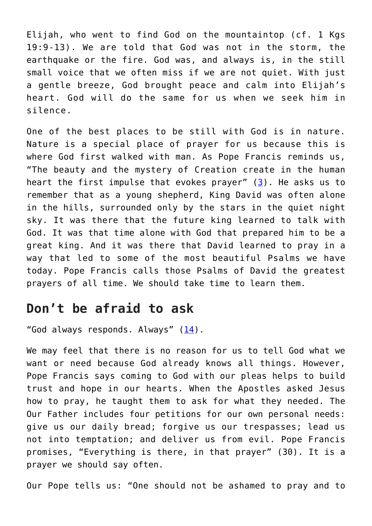Elijah, who went to find God on the mountaintop (cf. 1 Kgs 19:9-13). We are told that God was not in the storm, the earthquake or the fire. God was, and always is, in the still small voice that we often miss if we are not quiet. With just a gentle breeze, God brought peace and calm into Elijah's heart. God will do the same for us when we seek him in silence.

One of the best places to be still with God is in nature. Nature is a special place of prayer for us because this is where God first walked with man. As Pope Francis reminds us, "The beauty and the mystery of Creation create in the human heart the first impulse that evokes prayer" ([3\)](https://www.vatican.va/content/francesco/en/audiences/2020/documents/papa-francesco_20200520_udienza-generale.html). He asks us to remember that as a young shepherd, King David was often alone in the hills, surrounded only by the stars in the quiet night sky. It was there that the future king learned to talk with God. It was that time alone with God that prepared him to be a great king. And it was there that David learned to pray in a way that led to some of the most beautiful Psalms we have today. Pope Francis calls those Psalms of David the greatest prayers of all time. We should take time to learn them.

# **Don't be afraid to ask**

"God always responds. Always"  $(14)$ .

We may feel that there is no reason for us to tell God what we want or need because God already knows all things. However, Pope Francis says coming to God with our pleas helps to build trust and hope in our hearts. When the Apostles asked Jesus how to pray, he taught them to ask for what they needed. The Our Father includes four petitions for our own personal needs: give us our daily bread; forgive us our trespasses; lead us not into temptation; and deliver us from evil. Pope Francis promises, "Everything is there, in that prayer" (30). It is a prayer we should say often.

Our Pope tells us: "One should not be ashamed to pray and to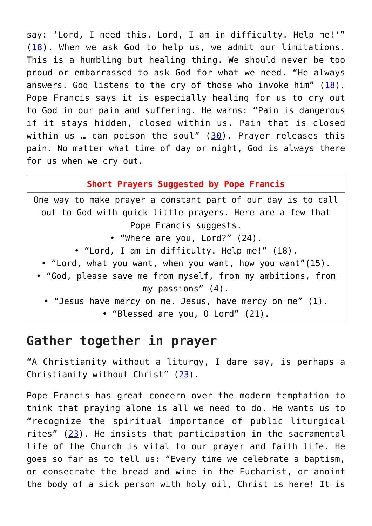say: 'Lord, I need this. Lord, I am in difficulty. Help me!'" ([18](https://www.vatican.va/content/francesco/en/audiences/2020/documents/papa-francesco_20201209_udienza-generale.html)). When we ask God to help us, we admit our limitations. This is a humbling but healing thing. We should never be too proud or embarrassed to ask God for what we need. "He always answers. God listens to the cry of those who invoke him" ([18](https://www.vatican.va/content/francesco/en/audiences/2020/documents/papa-francesco_20201209_udienza-generale.html)). Pope Francis says it is especially healing for us to cry out to God in our pain and suffering. He warns: "Pain is dangerous if it stays hidden, closed within us. Pain that is closed within us . can poison the soul"  $(30)$  $(30)$ . Prayer releases this pain. No matter what time of day or night, God is always there for us when we cry out.

**Short Prayers Suggested by Pope Francis**

One way to make prayer a constant part of our day is to call out to God with quick little prayers. Here are a few that Pope Francis suggests. • "Where are you, Lord?" (24). • "Lord, I am in difficulty. Help me!" (18). • "Lord, what you want, when you want, how you want"(15). • "God, please save me from myself, from my ambitions, from my passions" (4). • "Jesus have mercy on me. Jesus, have mercy on me" (1). • "Blessed are you, O Lord" (21).

# **Gather together in prayer**

"A Christianity without a liturgy, I dare say, is perhaps a Christianity without Christ" [\(23\)](https://www.vatican.va/content/francesco/en/audiences/2021/documents/papa-francesco_20210203_udienza-generale.html).

Pope Francis has great concern over the modern temptation to think that praying alone is all we need to do. He wants us to "recognize the spiritual importance of public liturgical rites" [\(23](https://www.vatican.va/content/francesco/en/audiences/2021/documents/papa-francesco_20210203_udienza-generale.html)). He insists that participation in the sacramental life of the Church is vital to our prayer and faith life. He goes so far as to tell us: "Every time we celebrate a baptism, or consecrate the bread and wine in the Eucharist, or anoint the body of a sick person with holy oil, Christ is here! It is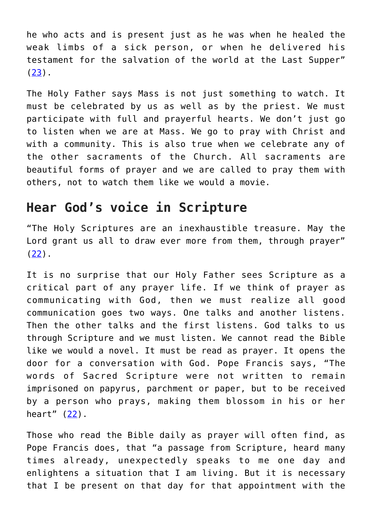he who acts and is present just as he was when he healed the weak limbs of a sick person, or when he delivered his testament for the salvation of the world at the Last Supper"  $(23)$  $(23)$ .

The Holy Father says Mass is not just something to watch. It must be celebrated by us as well as by the priest. We must participate with full and prayerful hearts. We don't just go to listen when we are at Mass. We go to pray with Christ and with a community. This is also true when we celebrate any of the other sacraments of the Church. All sacraments are beautiful forms of prayer and we are called to pray them with others, not to watch them like we would a movie.

# **Hear God's voice in Scripture**

"The Holy Scriptures are an inexhaustible treasure. May the Lord grant us all to draw ever more from them, through prayer" ([22\)](https://www.vatican.va/content/francesco/en/audiences/2021/documents/papa-francesco_20210127_udienza-generale.html).

It is no surprise that our Holy Father sees Scripture as a critical part of any prayer life. If we think of prayer as communicating with God, then we must realize all good communication goes two ways. One talks and another listens. Then the other talks and the first listens. God talks to us through Scripture and we must listen. We cannot read the Bible like we would a novel. It must be read as prayer. It opens the door for a conversation with God. Pope Francis says, "The words of Sacred Scripture were not written to remain imprisoned on papyrus, parchment or paper, but to be received by a person who prays, making them blossom in his or her heart"  $(22)$  $(22)$ .

Those who read the Bible daily as prayer will often find, as Pope Francis does, that "a passage from Scripture, heard many times already, unexpectedly speaks to me one day and enlightens a situation that I am living. But it is necessary that I be present on that day for that appointment with the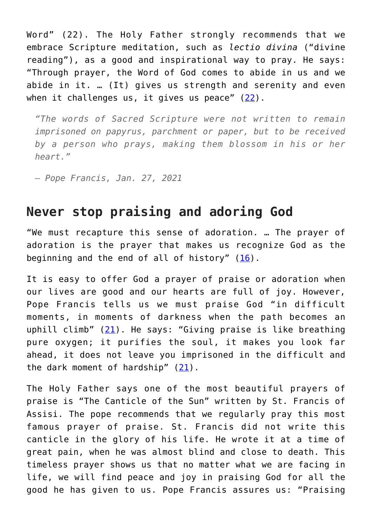Word" (22). The Holy Father strongly recommends that we embrace Scripture meditation, such as *lectio divina* ("divine reading"), as a good and inspirational way to pray. He says: "Through prayer, the Word of God comes to abide in us and we abide in it. … (It) gives us strength and serenity and even when it challenges us, it gives us peace"  $(22)$  $(22)$  $(22)$ .

*"The words of Sacred Scripture were not written to remain imprisoned on papyrus, parchment or paper, but to be received by a person who prays, making them blossom in his or her heart."*

*— Pope Francis, Jan. 27, 2021*

### **Never stop praising and adoring God**

"We must recapture this sense of adoration. … The prayer of adoration is the prayer that makes us recognize God as the beginning and the end of all of history"  $(16)$  $(16)$  $(16)$ .

It is easy to offer God a prayer of praise or adoration when our lives are good and our hearts are full of joy. However, Pope Francis tells us we must praise God "in difficult moments, in moments of darkness when the path becomes an uphill climb"  $(21)$  $(21)$ . He says: "Giving praise is like breathing pure oxygen; it purifies the soul, it makes you look far ahead, it does not leave you imprisoned in the difficult and the dark moment of hardship" [\(21\)](https://www.vatican.va/content/francesco/en/audiences/2021/documents/papa-francesco_20210113_udienza-generale.html).

The Holy Father says one of the most beautiful prayers of praise is "The Canticle of the Sun" written by St. Francis of Assisi. The pope recommends that we regularly pray this most famous prayer of praise. St. Francis did not write this canticle in the glory of his life. He wrote it at a time of great pain, when he was almost blind and close to death. This timeless prayer shows us that no matter what we are facing in life, we will find peace and joy in praising God for all the good he has given to us. Pope Francis assures us: "Praising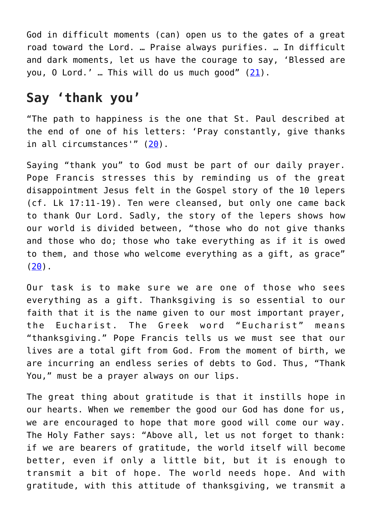God in difficult moments (can) open us to the gates of a great road toward the Lord. … Praise always purifies. … In difficult and dark moments, let us have the courage to say, 'Blessed are you, O Lord.' … This will do us much good" [\(21](https://www.vatican.va/content/francesco/en/audiences/2021/documents/papa-francesco_20210113_udienza-generale.html)).

# **Say 'thank you'**

"The path to happiness is the one that St. Paul described at the end of one of his letters: 'Pray constantly, give thanks in all circumstances'" ([20\)](https://www.vatican.va/content/francesco/en/audiences/2020/documents/papa-francesco_20201230_udienza-generale.html).

Saying "thank you" to God must be part of our daily prayer. Pope Francis stresses this by reminding us of the great disappointment Jesus felt in the Gospel story of the 10 lepers (cf. Lk 17:11-19). Ten were cleansed, but only one came back to thank Our Lord. Sadly, the story of the lepers shows how our world is divided between, "those who do not give thanks and those who do; those who take everything as if it is owed to them, and those who welcome everything as a gift, as grace"  $(20)$  $(20)$ .

Our task is to make sure we are one of those who sees everything as a gift. Thanksgiving is so essential to our faith that it is the name given to our most important prayer, the Eucharist. The Greek word "Eucharist" means "thanksgiving." Pope Francis tells us we must see that our lives are a total gift from God. From the moment of birth, we are incurring an endless series of debts to God. Thus, "Thank You," must be a prayer always on our lips.

The great thing about gratitude is that it instills hope in our hearts. When we remember the good our God has done for us, we are encouraged to hope that more good will come our way. The Holy Father says: "Above all, let us not forget to thank: if we are bearers of gratitude, the world itself will become better, even if only a little bit, but it is enough to transmit a bit of hope. The world needs hope. And with gratitude, with this attitude of thanksgiving, we transmit a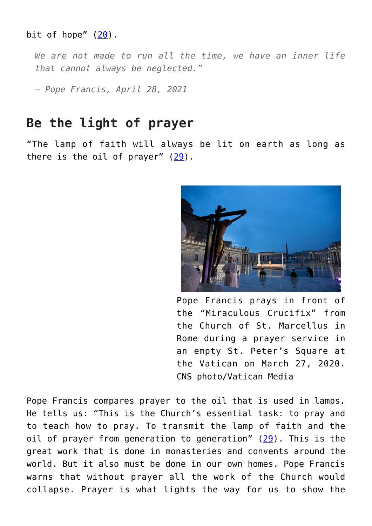#### bit of hope"  $(20)$ .

*We are not made to run all the time, we have an inner life that cannot always be neglected."*

*— Pope Francis, April 28, 2021*

#### **Be the light of prayer**

"The lamp of faith will always be lit on earth as long as there is the oil of prayer"  $(29)$  $(29)$ .



Pope Francis prays in front of the "Miraculous Crucifix" from the Church of St. Marcellus in Rome during a prayer service in an empty St. Peter's Square at the Vatican on March 27, 2020. CNS photo/Vatican Media

Pope Francis compares prayer to the oil that is used in lamps. He tells us: "This is the Church's essential task: to pray and to teach how to pray. To transmit the lamp of faith and the oil of prayer from generation to generation" ([29](https://www.vatican.va/content/francesco/en/audiences/2021/documents/papa-francesco_20210414_udienza-generale.html)). This is the great work that is done in monasteries and convents around the world. But it also must be done in our own homes. Pope Francis warns that without prayer all the work of the Church would collapse. Prayer is what lights the way for us to show the